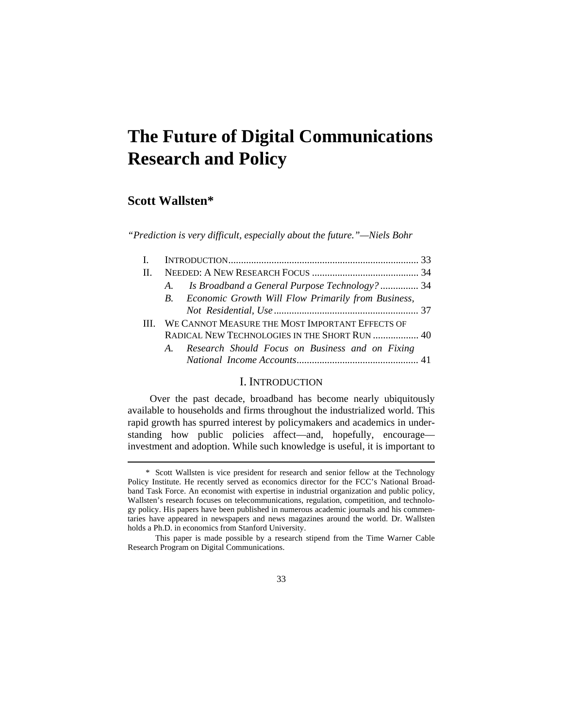# **The Future of Digital Communications Research and Policy**

## **Scott Wallsten\***

 $\overline{a}$ 

*"Prediction is very difficult, especially about the future."—Niels Bohr* 

| H. |                                                       |  |
|----|-------------------------------------------------------|--|
|    | A. Is Broadband a General Purpose Technology?  34     |  |
|    | B. Economic Growth Will Flow Primarily from Business, |  |
|    |                                                       |  |
|    | III. WE CANNOT MEASURE THE MOST IMPORTANT EFFECTS OF  |  |
|    | RADICAL NEW TECHNOLOGIES IN THE SHORT RUN  40         |  |
|    | A. Research Should Focus on Business and on Fixing    |  |
|    |                                                       |  |
|    |                                                       |  |

## I. INTRODUCTION

Over the past decade, broadband has become nearly ubiquitously available to households and firms throughout the industrialized world. This rapid growth has spurred interest by policymakers and academics in understanding how public policies affect—and, hopefully, encourage investment and adoption. While such knowledge is useful, it is important to

 <sup>\*</sup> Scott Wallsten is vice president for research and senior fellow at the Technology Policy Institute. He recently served as economics director for the FCC's National Broadband Task Force. An economist with expertise in industrial organization and public policy, Wallsten's research focuses on telecommunications, regulation, competition, and technology policy. His papers have been published in numerous academic journals and his commentaries have appeared in newspapers and news magazines around the world. Dr. Wallsten holds a Ph.D. in economics from Stanford University.

This paper is made possible by a research stipend from the Time Warner Cable Research Program on Digital Communications.

<sup>33</sup>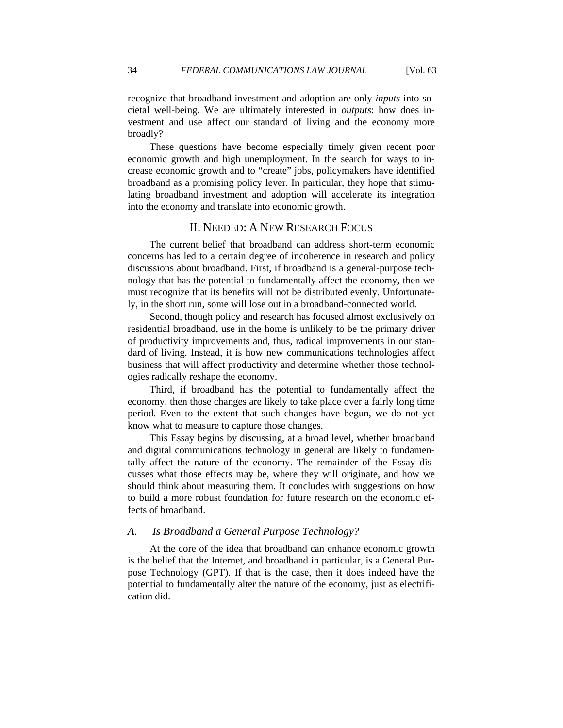recognize that broadband investment and adoption are only *inputs* into societal well-being. We are ultimately interested in *outputs*: how does investment and use affect our standard of living and the economy more broadly?

These questions have become especially timely given recent poor economic growth and high unemployment. In the search for ways to increase economic growth and to "create" jobs, policymakers have identified broadband as a promising policy lever. In particular, they hope that stimulating broadband investment and adoption will accelerate its integration into the economy and translate into economic growth.

## II. NEEDED: A NEW RESEARCH FOCUS

The current belief that broadband can address short-term economic concerns has led to a certain degree of incoherence in research and policy discussions about broadband. First, if broadband is a general-purpose technology that has the potential to fundamentally affect the economy, then we must recognize that its benefits will not be distributed evenly. Unfortunately, in the short run, some will lose out in a broadband-connected world.

Second, though policy and research has focused almost exclusively on residential broadband, use in the home is unlikely to be the primary driver of productivity improvements and, thus, radical improvements in our standard of living. Instead, it is how new communications technologies affect business that will affect productivity and determine whether those technologies radically reshape the economy.

Third, if broadband has the potential to fundamentally affect the economy, then those changes are likely to take place over a fairly long time period. Even to the extent that such changes have begun, we do not yet know what to measure to capture those changes.

This Essay begins by discussing, at a broad level, whether broadband and digital communications technology in general are likely to fundamentally affect the nature of the economy. The remainder of the Essay discusses what those effects may be, where they will originate, and how we should think about measuring them. It concludes with suggestions on how to build a more robust foundation for future research on the economic effects of broadband.

#### *A. Is Broadband a General Purpose Technology?*

At the core of the idea that broadband can enhance economic growth is the belief that the Internet, and broadband in particular, is a General Purpose Technology (GPT). If that is the case, then it does indeed have the potential to fundamentally alter the nature of the economy, just as electrification did.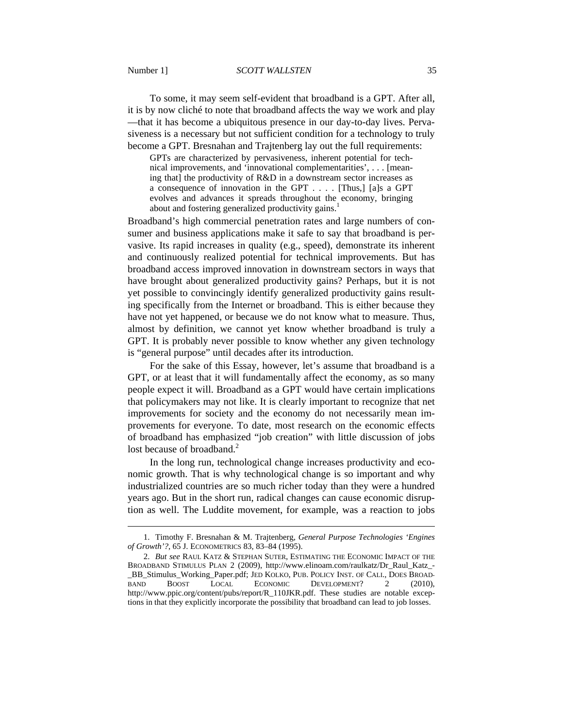To some, it may seem self-evident that broadband is a GPT. After all, it is by now cliché to note that broadband affects the way we work and play —that it has become a ubiquitous presence in our day-to-day lives. Pervasiveness is a necessary but not sufficient condition for a technology to truly become a GPT. Bresnahan and Trajtenberg lay out the full requirements:

GPTs are characterized by pervasiveness, inherent potential for technical improvements, and 'innovational complementarities', . . . [meaning that] the productivity of R&D in a downstream sector increases as a consequence of innovation in the GPT . . . . [Thus,] [a]s a GPT evolves and advances it spreads throughout the economy, bringing about and fostering generalized productivity gains.<sup>1</sup>

Broadband's high commercial penetration rates and large numbers of consumer and business applications make it safe to say that broadband is pervasive. Its rapid increases in quality (e.g., speed), demonstrate its inherent and continuously realized potential for technical improvements. But has broadband access improved innovation in downstream sectors in ways that have brought about generalized productivity gains? Perhaps, but it is not yet possible to convincingly identify generalized productivity gains resulting specifically from the Internet or broadband. This is either because they have not yet happened, or because we do not know what to measure. Thus, almost by definition, we cannot yet know whether broadband is truly a GPT. It is probably never possible to know whether any given technology is "general purpose" until decades after its introduction.

For the sake of this Essay, however, let's assume that broadband is a GPT, or at least that it will fundamentally affect the economy, as so many people expect it will. Broadband as a GPT would have certain implications that policymakers may not like. It is clearly important to recognize that net improvements for society and the economy do not necessarily mean improvements for everyone. To date, most research on the economic effects of broadband has emphasized "job creation" with little discussion of jobs lost because of broadband. $<sup>2</sup>$ </sup>

In the long run, technological change increases productivity and economic growth. That is why technological change is so important and why industrialized countries are so much richer today than they were a hundred years ago. But in the short run, radical changes can cause economic disruption as well. The Luddite movement, for example, was a reaction to jobs

 <sup>1.</sup> Timothy F. Bresnahan & M. Trajtenberg, *General Purpose Technologies 'Engines of Growth'?*, 65 J. ECONOMETRICS 83, 83–84 (1995).

 <sup>2.</sup> *But see* RAUL KATZ & STEPHAN SUTER, ESTIMATING THE ECONOMIC IMPACT OF THE BROADBAND STIMULUS PLAN 2 (2009), http://www.elinoam.com/raulkatz/Dr\_Raul\_Katz\_- \_BB\_Stimulus\_Working\_Paper.pdf; JED KOLKO, PUB. POLICY INST. OF CALI., DOES BROAD-BAND BOOST LOCAL ECONOMIC DEVELOPMENT? 2 (2010), http://www.ppic.org/content/pubs/report/R\_110JKR.pdf. These studies are notable exceptions in that they explicitly incorporate the possibility that broadband can lead to job losses.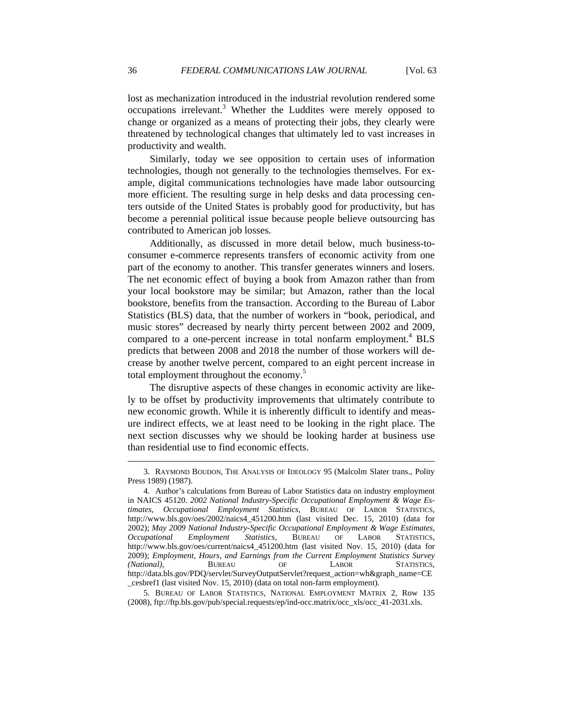lost as mechanization introduced in the industrial revolution rendered some occupations irrelevant.<sup>3</sup> Whether the Luddites were merely opposed to change or organized as a means of protecting their jobs, they clearly were threatened by technological changes that ultimately led to vast increases in productivity and wealth.

Similarly, today we see opposition to certain uses of information technologies, though not generally to the technologies themselves. For example, digital communications technologies have made labor outsourcing more efficient. The resulting surge in help desks and data processing centers outside of the United States is probably good for productivity, but has become a perennial political issue because people believe outsourcing has contributed to American job losses.

Additionally, as discussed in more detail below, much business-toconsumer e-commerce represents transfers of economic activity from one part of the economy to another. This transfer generates winners and losers. The net economic effect of buying a book from Amazon rather than from your local bookstore may be similar; but Amazon, rather than the local bookstore, benefits from the transaction. According to the Bureau of Labor Statistics (BLS) data, that the number of workers in "book, periodical, and music stores" decreased by nearly thirty percent between 2002 and 2009, compared to a one-percent increase in total nonfarm employment.<sup>4</sup> BLS predicts that between 2008 and 2018 the number of those workers will decrease by another twelve percent, compared to an eight percent increase in total employment throughout the economy.<sup>5</sup>

The disruptive aspects of these changes in economic activity are likely to be offset by productivity improvements that ultimately contribute to new economic growth. While it is inherently difficult to identify and measure indirect effects, we at least need to be looking in the right place. The next section discusses why we should be looking harder at business use than residential use to find economic effects.

 $\overline{a}$ 

 <sup>3.</sup> RAYMOND BOUDON, THE ANALYSIS OF IDEOLOGY 95 (Malcolm Slater trans., Polity Press 1989) (1987).

 <sup>4.</sup> Author's calculations from Bureau of Labor Statistics data on industry employment in NAICS 45120. *2002 National Industry-Specific Occupational Employment & Wage Estimates*, *Occupational Employment Statistics*, BUREAU OF LABOR STATISTICS, http://www.bls.gov/oes/2002/naics4\_451200.htm (last visited Dec. 15, 2010) (data for 2002); *May 2009 National Industry-Specific Occupational Employment & Wage Estimates*, *Occupational Employment Statistics*, BUREAU OF LABOR STATISTICS, http://www.bls.gov/oes/current/naics4\_451200.htm (last visited Nov. 15, 2010) (data for 2009); *Employment, Hours, and Earnings from the Current Employment Statistics Survey (National)*, BUREAU OF LABOR STATISTICS, http://data.bls.gov/PDQ/servlet/SurveyOutputServlet?request\_action=wh&graph\_name=CE \_cesbref1 (last visited Nov. 15, 2010) (data on total non-farm employment).

 <sup>5.</sup> BUREAU OF LABOR STATISTICS, NATIONAL EMPLOYMENT MATRIX 2, Row 135 (2008), ftp://ftp.bls.gov/pub/special.requests/ep/ind-occ.matrix/occ\_xls/occ\_41-2031.xls.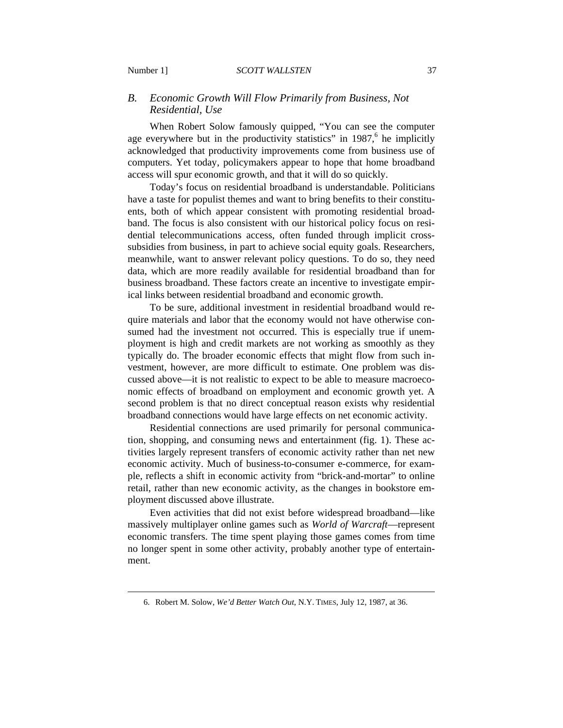## *B. Economic Growth Will Flow Primarily from Business, Not Residential, Use*

When Robert Solow famously quipped, "You can see the computer age everywhere but in the productivity statistics" in 1987, $6$  he implicitly acknowledged that productivity improvements come from business use of computers. Yet today, policymakers appear to hope that home broadband access will spur economic growth, and that it will do so quickly.

Today's focus on residential broadband is understandable. Politicians have a taste for populist themes and want to bring benefits to their constituents, both of which appear consistent with promoting residential broadband. The focus is also consistent with our historical policy focus on residential telecommunications access, often funded through implicit crosssubsidies from business, in part to achieve social equity goals. Researchers, meanwhile, want to answer relevant policy questions. To do so, they need data, which are more readily available for residential broadband than for business broadband. These factors create an incentive to investigate empirical links between residential broadband and economic growth.

To be sure, additional investment in residential broadband would require materials and labor that the economy would not have otherwise consumed had the investment not occurred. This is especially true if unemployment is high and credit markets are not working as smoothly as they typically do. The broader economic effects that might flow from such investment, however, are more difficult to estimate. One problem was discussed above—it is not realistic to expect to be able to measure macroeconomic effects of broadband on employment and economic growth yet. A second problem is that no direct conceptual reason exists why residential broadband connections would have large effects on net economic activity.

Residential connections are used primarily for personal communication, shopping, and consuming news and entertainment (fig. 1). These activities largely represent transfers of economic activity rather than net new economic activity. Much of business-to-consumer e-commerce, for example, reflects a shift in economic activity from "brick-and-mortar" to online retail, rather than new economic activity, as the changes in bookstore employment discussed above illustrate.

Even activities that did not exist before widespread broadband—like massively multiplayer online games such as *World of Warcraft*—represent economic transfers. The time spent playing those games comes from time no longer spent in some other activity, probably another type of entertainment.

 <sup>6.</sup> Robert M. Solow, *We'd Better Watch Out*, N.Y. TIMES, July 12, 1987, at 36.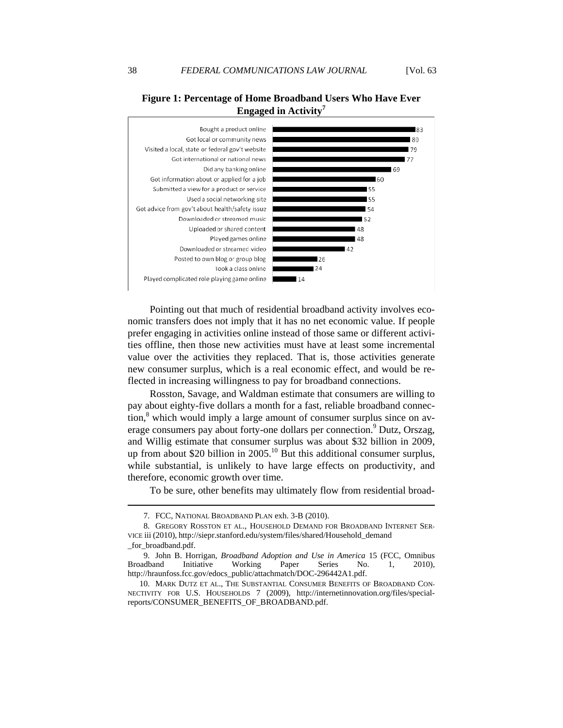## **Figure 1: Percentage of Home Broadband Users Who Have Ever Engaged in Activity<sup>7</sup>**



Pointing out that much of residential broadband activity involves economic transfers does not imply that it has no net economic value. If people prefer engaging in activities online instead of those same or different activities offline, then those new activities must have at least some incremental value over the activities they replaced. That is, those activities generate new consumer surplus, which is a real economic effect, and would be reflected in increasing willingness to pay for broadband connections.

Rosston, Savage, and Waldman estimate that consumers are willing to pay about eighty-five dollars a month for a fast, reliable broadband connec- $\frac{1}{2}$  tion,  $\frac{8}{3}$  which would imply a large amount of consumer surplus since on average consumers pay about forty-one dollars per connection.<sup>9</sup> Dutz, Orszag, and Willig estimate that consumer surplus was about \$32 billion in 2009, up from about \$20 billion in 2005.<sup>10</sup> But this additional consumer surplus, while substantial, is unlikely to have large effects on productivity, and therefore, economic growth over time.

To be sure, other benefits may ultimately flow from residential broad-

 $\overline{a}$ 

 <sup>7.</sup> FCC, NATIONAL BROADBAND PLAN exh. 3-B (2010).

 <sup>8.</sup> GREGORY ROSSTON ET AL., HOUSEHOLD DEMAND FOR BROADBAND INTERNET SER-VICE iii (2010), http://siepr.stanford.edu/system/files/shared/Household\_demand \_for\_broadband.pdf.

 <sup>9.</sup> John B. Horrigan, *Broadband Adoption and Use in America* 15 (FCC, Omnibus Broadband Initiative Working Paper Series No. 1, 2010), http://hraunfoss.fcc.gov/edocs\_public/attachmatch/DOC-296442A1.pdf.

 <sup>10.</sup> MARK DUTZ ET AL., THE SUBSTANTIAL CONSUMER BENEFITS OF BROADBAND CON-NECTIVITY FOR U.S. HOUSEHOLDS 7 (2009), http://internetinnovation.org/files/specialreports/CONSUMER\_BENEFITS\_OF\_BROADBAND.pdf.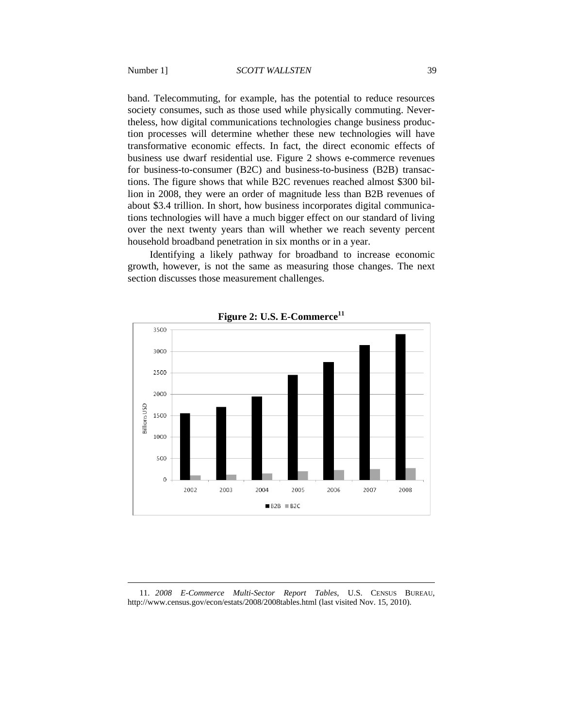band. Telecommuting, for example, has the potential to reduce resources society consumes, such as those used while physically commuting. Nevertheless, how digital communications technologies change business production processes will determine whether these new technologies will have transformative economic effects. In fact, the direct economic effects of business use dwarf residential use. Figure 2 shows e-commerce revenues for business-to-consumer (B2C) and business-to-business (B2B) transactions. The figure shows that while B2C revenues reached almost \$300 billion in 2008, they were an order of magnitude less than B2B revenues of about \$3.4 trillion. In short, how business incorporates digital communications technologies will have a much bigger effect on our standard of living over the next twenty years than will whether we reach seventy percent household broadband penetration in six months or in a year.

Identifying a likely pathway for broadband to increase economic growth, however, is not the same as measuring those changes. The next section discusses those measurement challenges.



**Figure 2: U.S. E-Commerce<sup>11</sup>**

 11. *2008 E-Commerce Multi-Sector Report Tables*, U.S. CENSUS BUREAU, http://www.census.gov/econ/estats/2008/2008tables.html (last visited Nov. 15, 2010).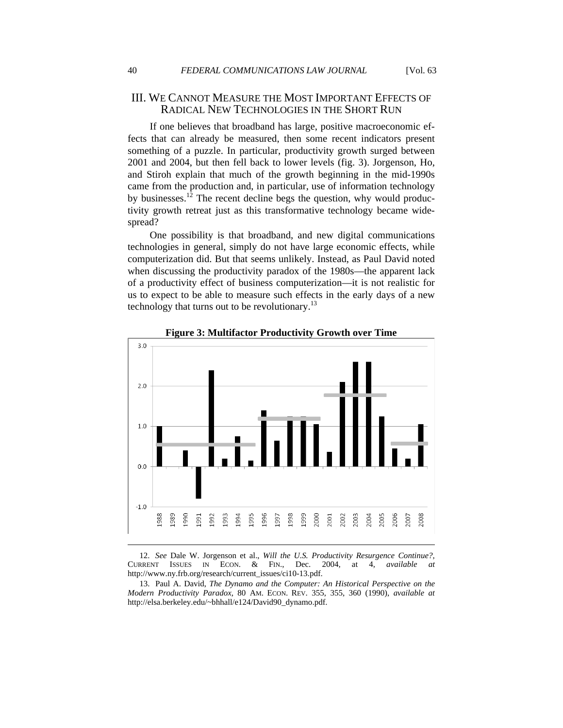If one believes that broadband has large, positive macroeconomic effects that can already be measured, then some recent indicators present something of a puzzle. In particular, productivity growth surged between 2001 and 2004, but then fell back to lower levels (fig. 3). Jorgenson, Ho, and Stiroh explain that much of the growth beginning in the mid-1990s came from the production and, in particular, use of information technology by businesses.<sup>12</sup> The recent decline begs the question, why would productivity growth retreat just as this transformative technology became widespread?

One possibility is that broadband, and new digital communications technologies in general, simply do not have large economic effects, while computerization did. But that seems unlikely. Instead, as Paul David noted when discussing the productivity paradox of the 1980s—the apparent lack of a productivity effect of business computerization—it is not realistic for us to expect to be able to measure such effects in the early days of a new technology that turns out to be revolutionary. $^{13}$ 





 12. *See* Dale W. Jorgenson et al., *Will the U.S. Productivity Resurgence Continue?*, CURRENT ISSUES IN ECON. & FIN., Dec. 2004, at 4, *available at* http://www.ny.frb.org/research/current\_issues/ci10-13.pdf.

 13. Paul A. David, *The Dynamo and the Computer: An Historical Perspective on the Modern Productivity Paradox*, 80 AM. ECON. REV. 355, 355, 360 (1990), *available at* http://elsa.berkeley.edu/~bhhall/e124/David90\_dynamo.pdf.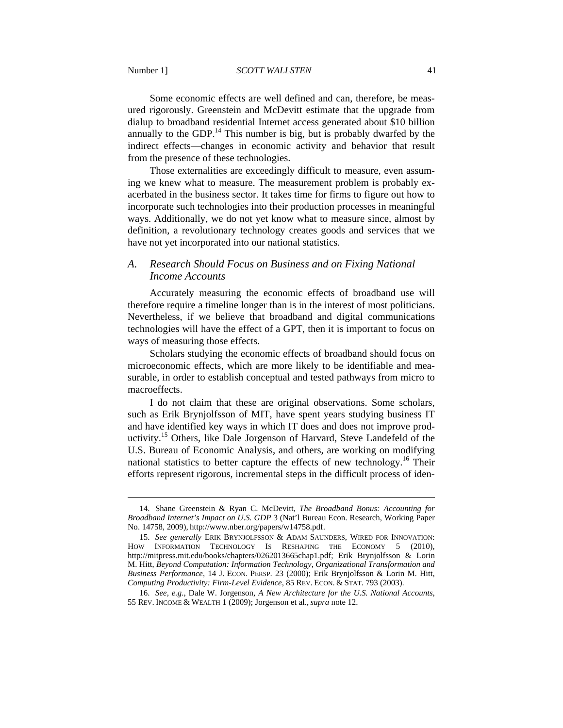Some economic effects are well defined and can, therefore, be measured rigorously. Greenstein and McDevitt estimate that the upgrade from dialup to broadband residential Internet access generated about \$10 billion annually to the GDP.<sup>14</sup> This number is big, but is probably dwarfed by the indirect effects—changes in economic activity and behavior that result from the presence of these technologies.

Those externalities are exceedingly difficult to measure, even assuming we knew what to measure. The measurement problem is probably exacerbated in the business sector. It takes time for firms to figure out how to incorporate such technologies into their production processes in meaningful ways. Additionally, we do not yet know what to measure since, almost by definition, a revolutionary technology creates goods and services that we have not yet incorporated into our national statistics.

#### *A. Research Should Focus on Business and on Fixing National Income Accounts*

Accurately measuring the economic effects of broadband use will therefore require a timeline longer than is in the interest of most politicians. Nevertheless, if we believe that broadband and digital communications technologies will have the effect of a GPT, then it is important to focus on ways of measuring those effects.

Scholars studying the economic effects of broadband should focus on microeconomic effects, which are more likely to be identifiable and measurable, in order to establish conceptual and tested pathways from micro to macroeffects.

I do not claim that these are original observations. Some scholars, such as Erik Brynjolfsson of MIT, have spent years studying business IT and have identified key ways in which IT does and does not improve productivity.<sup>15</sup> Others, like Dale Jorgenson of Harvard, Steve Landefeld of the U.S. Bureau of Economic Analysis, and others, are working on modifying national statistics to better capture the effects of new technology.<sup>16</sup> Their efforts represent rigorous, incremental steps in the difficult process of iden-

 <sup>14.</sup> Shane Greenstein & Ryan C. McDevitt, *The Broadband Bonus: Accounting for Broadband Internet's Impact on U.S. GDP* 3 (Nat'l Bureau Econ. Research, Working Paper No. 14758, 2009), http://www.nber.org/papers/w14758.pdf.

 <sup>15.</sup> *See generally* ERIK BRYNJOLFSSON & ADAM SAUNDERS, WIRED FOR INNOVATION: HOW INFORMATION TECHNOLOGY IS RESHAPING THE ECONOMY 5 (2010), http://mitpress.mit.edu/books/chapters/0262013665chap1.pdf; Erik Brynjolfsson & Lorin M. Hitt, *Beyond Computation: Information Technology, Organizational Transformation and Business Performance*, 14 J. ECON. PERSP. 23 (2000); Erik Brynjolfsson & Lorin M. Hitt, *Computing Productivity: Firm-Level Evidence*, 85 REV. ECON. & STAT. 793 (2003).

 <sup>16.</sup> *See, e.g.*, Dale W. Jorgenson, *A New Architecture for the U.S. National Accounts*, 55 REV. INCOME & WEALTH 1 (2009); Jorgenson et al.,*supra* note 12.